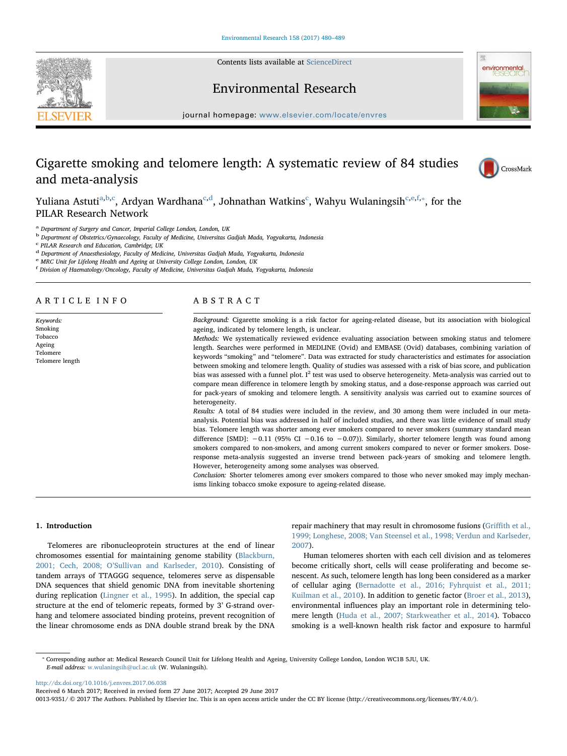Contents lists available at [ScienceDirect](http://www.sciencedirect.com/science/journal/00139351)





# Environmental Research

journal homepage: [www.elsevier.com/locate/envres](http://www.elsevier.com/locate/envres)

# Cigarette smoking and telomere length: A systematic review of 84 studies and meta-analysis



Yuliana Astuti<sup>[a,](#page-0-0)[b](#page-0-1)[,c](#page-0-2)</sup>, Ardyan Wardhana<sup>[c](#page-0-2)[,d](#page-0-3)</sup>, Johnathan Watkins<sup>c</sup>, Wahyu Wulaningsih<sup>[c,](#page-0-2)[e,](#page-0-4)[f,](#page-0-5)</sup>\*, for the PILAR Research Network

<span id="page-0-0"></span><sup>a</sup> Department of Surgery and Cancer, Imperial College London, London, UK

<span id="page-0-1"></span><sup>b</sup> Department of Obstetrics/Gynaecology, Faculty of Medicine, Universitas Gadjah Mada, Yogyakarta, Indonesia

<span id="page-0-2"></span><sup>c</sup> PILAR Research and Education, Cambridge, UK

<span id="page-0-3"></span><sup>d</sup> Department of Anaesthesiology, Faculty of Medicine, Universitas Gadjah Mada, Yogyakarta, Indonesia

<span id="page-0-4"></span><sup>e</sup> MRC Unit for Lifelong Health and Ageing at University College London, London, UK

<span id="page-0-5"></span>f Division of Haematology/Oncology, Faculty of Medicine, Universitas Gadjah Mada, Yogyakarta, Indonesia

# ARTICLE INFO

Keywords: Smoking Tobacco Ageing Telomere Telomere length

# ABSTRACT

Background: Cigarette smoking is a risk factor for ageing-related disease, but its association with biological ageing, indicated by telomere length, is unclear.

Methods: We systematically reviewed evidence evaluating association between smoking status and telomere length. Searches were performed in MEDLINE (Ovid) and EMBASE (Ovid) databases, combining variation of keywords "smoking" and "telomere". Data was extracted for study characteristics and estimates for association between smoking and telomere length. Quality of studies was assessed with a risk of bias score, and publication bias was assessed with a funnel plot. I<sup>2</sup> test was used to observe heterogeneity. Meta-analysis was carried out to compare mean difference in telomere length by smoking status, and a dose-response approach was carried out for pack-years of smoking and telomere length. A sensitivity analysis was carried out to examine sources of heterogeneity.

Results: A total of 84 studies were included in the review, and 30 among them were included in our metaanalysis. Potential bias was addressed in half of included studies, and there was little evidence of small study bias. Telomere length was shorter among ever smokers compared to never smokers (summary standard mean difference [SMD]:  $-0.11$  (95% CI −0.16 to −0.07)). Similarly, shorter telomere length was found among smokers compared to non-smokers, and among current smokers compared to never or former smokers. Doseresponse meta-analysis suggested an inverse trend between pack-years of smoking and telomere length. However, heterogeneity among some analyses was observed.

Conclusion: Shorter telomeres among ever smokers compared to those who never smoked may imply mechanisms linking tobacco smoke exposure to ageing-related disease.

### 1. Introduction

Telomeres are ribonucleoprotein structures at the end of linear chromosomes essential for maintaining genome stability ([Blackburn,](#page-7-0) 2001; Cech, 2008; O'[Sullivan and Karlseder, 2010](#page-7-0)). Consisting of tandem arrays of TTAGGG sequence, telomeres serve as dispensable DNA sequences that shield genomic DNA from inevitable shortening during replication [\(Lingner et al., 1995\)](#page-8-0). In addition, the special cap structure at the end of telomeric repeats, formed by 3' G-strand overhang and telomere associated binding proteins, prevent recognition of the linear chromosome ends as DNA double strand break by the DNA

repair machinery that may result in chromosome fusions (Griffi[th et al.,](#page-8-1) [1999; Longhese, 2008; Van Steensel et al., 1998; Verdun and Karlseder,](#page-8-1) [2007\)](#page-8-1).

Human telomeres shorten with each cell division and as telomeres become critically short, cells will cease proliferating and become senescent. As such, telomere length has long been considered as a marker of cellular aging ([Bernadotte et al., 2016; Fyhrquist et al., 2011;](#page-7-1) [Kuilman et al., 2010\)](#page-7-1). In addition to genetic factor ([Broer et al., 2013](#page-7-2)), environmental influences play an important role in determining telomere length [\(Huda et al., 2007; Starkweather et al., 2014\)](#page-8-2). Tobacco smoking is a well-known health risk factor and exposure to harmful

<span id="page-0-6"></span>⁎ Corresponding author at: Medical Research Council Unit for Lifelong Health and Ageing, University College London, London WC1B 5JU, UK. E-mail address: [w.wulaningsih@ucl.ac.uk](mailto:w.wulaningsih@ucl.ac.uk) (W. Wulaningsih).

<http://dx.doi.org/10.1016/j.envres.2017.06.038>

Received 6 March 2017; Received in revised form 27 June 2017; Accepted 29 June 2017

<sup>0013-9351/ © 2017</sup> The Authors. Published by Elsevier Inc. This is an open access article under the CC BY license (http://creativecommons.org/licenses/BY/4.0/).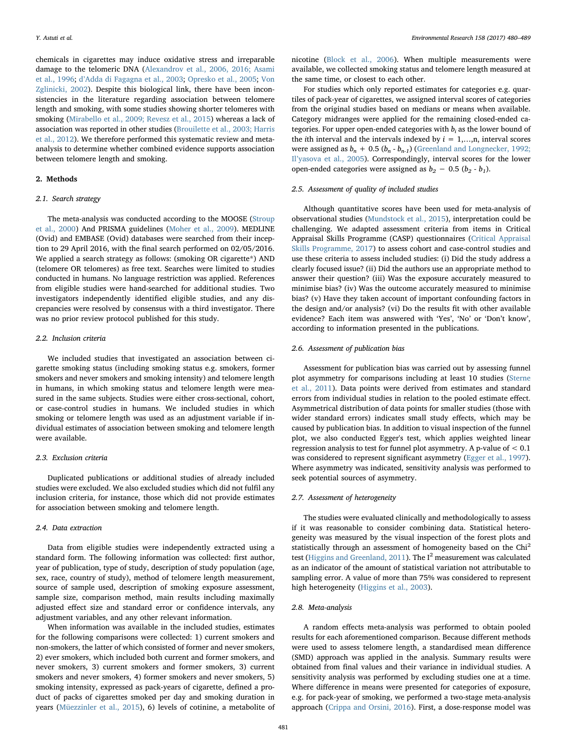chemicals in cigarettes may induce oxidative stress and irreparable damage to the telomeric DNA [\(Alexandrov et al., 2006, 2016; Asami](#page-7-3) [et al., 1996](#page-7-3); d'[Adda di Fagagna et al., 2003;](#page-8-3) [Opresko et al., 2005;](#page-8-4) [Von](#page-9-0) [Zglinicki, 2002](#page-9-0)). Despite this biological link, there have been inconsistencies in the literature regarding association between telomere length and smoking, with some studies showing shorter telomeres with smoking ([Mirabello et al., 2009; Revesz et al., 2015](#page-8-5)) whereas a lack of association was reported in other studies ([Brouilette et al., 2003; Harris](#page-8-6) [et al., 2012\)](#page-8-6). We therefore performed this systematic review and metaanalysis to determine whether combined evidence supports association between telomere length and smoking.

# 2. Methods

# 2.1. Search strategy

The meta-analysis was conducted according to the MOOSE [\(Stroup](#page-8-7) [et al., 2000\)](#page-8-7) And PRISMA guidelines ([Moher et al., 2009\)](#page-8-8). MEDLINE (Ovid) and EMBASE (Ovid) databases were searched from their inception to 29 April 2016, with the final search performed on 02/05/2016. We applied a search strategy as follows: (smoking OR cigarette\*) AND (telomere OR telomeres) as free text. Searches were limited to studies conducted in humans. No language restriction was applied. References from eligible studies were hand-searched for additional studies. Two investigators independently identified eligible studies, and any discrepancies were resolved by consensus with a third investigator. There was no prior review protocol published for this study.

# 2.2. Inclusion criteria

We included studies that investigated an association between cigarette smoking status (including smoking status e.g. smokers, former smokers and never smokers and smoking intensity) and telomere length in humans, in which smoking status and telomere length were measured in the same subjects. Studies were either cross-sectional, cohort, or case-control studies in humans. We included studies in which smoking or telomere length was used as an adjustment variable if individual estimates of association between smoking and telomere length were available.

#### 2.3. Exclusion criteria

Duplicated publications or additional studies of already included studies were excluded. We also excluded studies which did not fulfil any inclusion criteria, for instance, those which did not provide estimates for association between smoking and telomere length.

### 2.4. Data extraction

Data from eligible studies were independently extracted using a standard form. The following information was collected: first author, year of publication, type of study, description of study population (age, sex, race, country of study), method of telomere length measurement, source of sample used, description of smoking exposure assessment, sample size, comparison method, main results including maximally adjusted effect size and standard error or confidence intervals, any adjustment variables, and any other relevant information.

When information was available in the included studies, estimates for the following comparisons were collected: 1) current smokers and non-smokers, the latter of which consisted of former and never smokers, 2) ever smokers, which included both current and former smokers, and never smokers, 3) current smokers and former smokers, 3) current smokers and never smokers, 4) former smokers and never smokers, 5) smoking intensity, expressed as pack-years of cigarette, defined a product of packs of cigarettes smoked per day and smoking duration in years [\(Müezzinler et al., 2015\)](#page-8-9), 6) levels of cotinine, a metabolite of nicotine [\(Block et al., 2006\)](#page-7-4). When multiple measurements were available, we collected smoking status and telomere length measured at the same time, or closest to each other.

For studies which only reported estimates for categories e.g. quartiles of pack-year of cigarettes, we assigned interval scores of categories from the original studies based on medians or means when available. Category midranges were applied for the remaining closed-ended categories. For upper open-ended categories with  $b_i$  as the lower bound of the *i*th interval and the intervals indexed by  $i = 1,...,n$ , interval scores were assigned as  $b_n + 0.5 (b_n - b_{n-1})$  [\(Greenland and Longnecker, 1992;](#page-8-10) Il'[yasova et al., 2005\)](#page-8-10). Correspondingly, interval scores for the lower open-ended categories were assigned as  $b_2 - 0.5$  ( $b_2 - b_1$ ).

# 2.5. Assessment of quality of included studies

Although quantitative scores have been used for meta-analysis of observational studies ([Mundstock et al., 2015](#page-8-11)), interpretation could be challenging. We adapted assessment criteria from items in Critical Appraisal Skills Programme (CASP) questionnaires [\(Critical Appraisal](#page-8-12) [Skills Programme, 2017\)](#page-8-12) to assess cohort and case-control studies and use these criteria to assess included studies: (i) Did the study address a clearly focused issue? (ii) Did the authors use an appropriate method to answer their question? (iii) Was the exposure accurately measured to minimise bias? (iv) Was the outcome accurately measured to minimise bias? (v) Have they taken account of important confounding factors in the design and/or analysis? (vi) Do the results fit with other available evidence? Each item was answered with 'Yes', 'No' or 'Don't know', according to information presented in the publications.

# 2.6. Assessment of publication bias

Assessment for publication bias was carried out by assessing funnel plot asymmetry for comparisons including at least 10 studies [\(Sterne](#page-8-13) [et al., 2011](#page-8-13)). Data points were derived from estimates and standard errors from individual studies in relation to the pooled estimate effect. Asymmetrical distribution of data points for smaller studies (those with wider standard errors) indicates small study effects, which may be caused by publication bias. In addition to visual inspection of the funnel plot, we also conducted Egger's test, which applies weighted linear regression analysis to test for funnel plot asymmetry. A p-value of < 0.1 was considered to represent significant asymmetry [\(Egger et al., 1997](#page-8-14)). Where asymmetry was indicated, sensitivity analysis was performed to seek potential sources of asymmetry.

# 2.7. Assessment of heterogeneity

The studies were evaluated clinically and methodologically to assess if it was reasonable to consider combining data. Statistical heterogeneity was measured by the visual inspection of the forest plots and statistically through an assessment of homogeneity based on the Chi<sup>2</sup> test [\(Higgins and Greenland, 2011\)](#page-8-15). The  $I^2$  measurement was calculated as an indicator of the amount of statistical variation not attributable to sampling error. A value of more than 75% was considered to represent high heterogeneity [\(Higgins et al., 2003](#page-8-16)).

# 2.8. Meta-analysis

A random effects meta-analysis was performed to obtain pooled results for each aforementioned comparison. Because different methods were used to assess telomere length, a standardised mean difference (SMD) approach was applied in the analysis. Summary results were obtained from final values and their variance in individual studies. A sensitivity analysis was performed by excluding studies one at a time. Where difference in means were presented for categories of exposure, e.g. for pack-year of smoking, we performed a two-stage meta-analysis approach [\(Crippa and Orsini, 2016\)](#page-8-17). First, a dose-response model was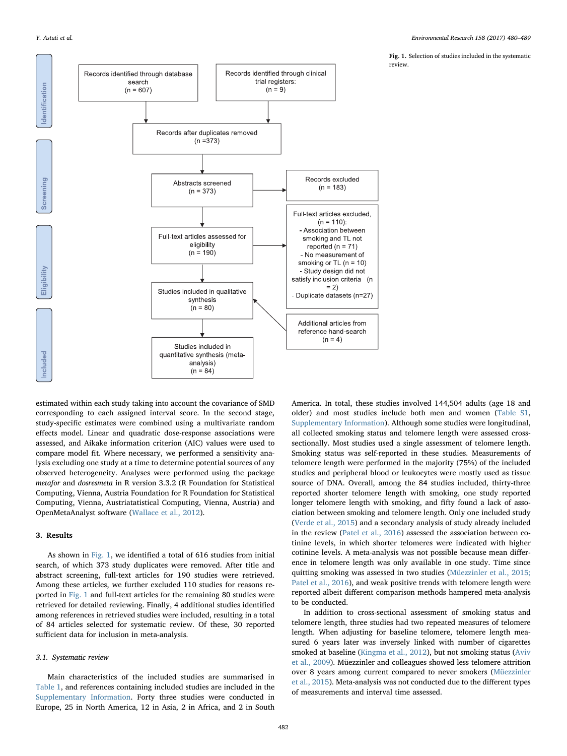<span id="page-2-0"></span>

Fig. 1. Selection of studies included in the systematic review.

estimated within each study taking into account the covariance of SMD corresponding to each assigned interval score. In the second stage, study-specific estimates were combined using a multivariate random effects model. Linear and quadratic dose-response associations were assessed, and Aikake information criterion (AIC) values were used to compare model fit. Where necessary, we performed a sensitivity analysis excluding one study at a time to determine potential sources of any observed heterogeneity. Analyses were performed using the package metafor and dosresmeta in R version 3.3.2 (R Foundation for Statistical Computing, Vienna, Austria Foundation for R Foundation for Statistical Computing, Vienna, Austriatatistical Computing, Vienna, Austria) and OpenMetaAnalyst software ([Wallace et al., 2012](#page-9-1)).

# 3. Results

As shown in [Fig. 1](#page-2-0), we identified a total of 616 studies from initial search, of which 373 study duplicates were removed. After title and abstract screening, full-text articles for 190 studies were retrieved. Among these articles, we further excluded 110 studies for reasons reported in [Fig. 1](#page-2-0) and full-text articles for the remaining 80 studies were retrieved for detailed reviewing. Finally, 4 additional studies identified among references in retrieved studies were included, resulting in a total of 84 articles selected for systematic review. Of these, 30 reported sufficient data for inclusion in meta-analysis.

### 3.1. Systematic review

Main characteristics of the included studies are summarised in [Table 1](#page-3-0), and references containing included studies are included in the Supplementary Information. Forty three studies were conducted in Europe, 25 in North America, 12 in Asia, 2 in Africa, and 2 in South

America. In total, these studies involved 144,504 adults (age 18 and older) and most studies include both men and women (Table S1, Supplementary Information). Although some studies were longitudinal, all collected smoking status and telomere length were assessed crosssectionally. Most studies used a single assessment of telomere length. Smoking status was self-reported in these studies. Measurements of telomere length were performed in the majority (75%) of the included studies and peripheral blood or leukocytes were mostly used as tissue source of DNA. Overall, among the 84 studies included, thirty-three reported shorter telomere length with smoking, one study reported longer telomere length with smoking, and fifty found a lack of association between smoking and telomere length. Only one included study ([Verde et al., 2015\)](#page-9-2) and a secondary analysis of study already included in the review ([Patel et al., 2016](#page-8-18)) assessed the association between cotinine levels, in which shorter telomeres were indicated with higher cotinine levels. A meta-analysis was not possible because mean difference in telomere length was only available in one study. Time since quitting smoking was assessed in two studies ([Müezzinler et al., 2015;](#page-8-9) [Patel et al., 2016\)](#page-8-9), and weak positive trends with telomere length were reported albeit different comparison methods hampered meta-analysis to be conducted.

In addition to cross-sectional assessment of smoking status and telomere length, three studies had two repeated measures of telomere length. When adjusting for baseline telomere, telomere length measured 6 years later was inversely linked with number of cigarettes smoked at baseline ([Kingma et al., 2012](#page-8-19)), but not smoking status [\(Aviv](#page-7-5) [et al., 2009](#page-7-5)). Müezzinler and colleagues showed less telomere attrition over 8 years among current compared to never smokers ([Müezzinler](#page-8-9) [et al., 2015\)](#page-8-9). Meta-analysis was not conducted due to the different types of measurements and interval time assessed.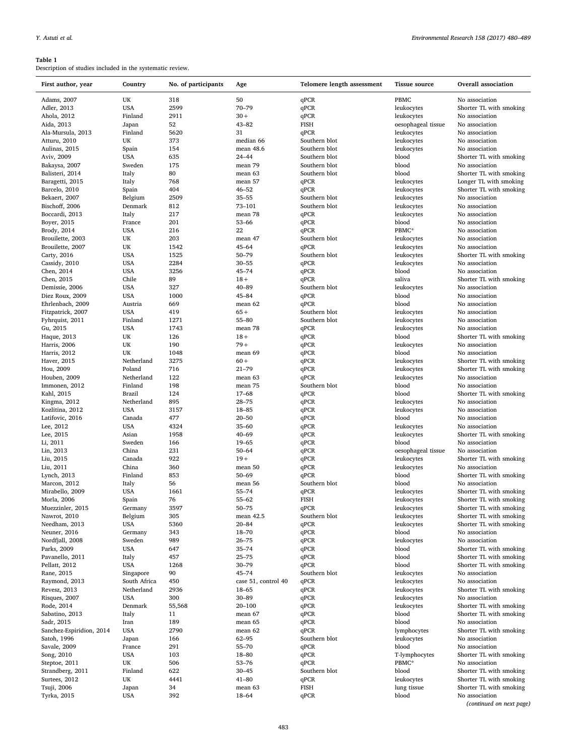# <span id="page-3-0"></span>Table 1

Description of studies included in the systematic review.

| First author, year       | Country      | No. of participants | Age                 | Telomere length assessment | <b>Tissue source</b> | <b>Overall</b> association                 |
|--------------------------|--------------|---------------------|---------------------|----------------------------|----------------------|--------------------------------------------|
| Adams, 2007              | UK           | 318                 | 50                  | qPCR                       | PBMC                 | No association                             |
| Adler, 2013              | <b>USA</b>   | 2599                | $70 - 79$           | qPCR                       | leukocytes           | Shorter TL with smoking                    |
| Ahola, 2012              | Finland      | 2911                | $30 +$              | qPCR                       | leukocytes           | No association                             |
| Aida, 2013               | Japan        | 52                  | $43 - 82$           | <b>FISH</b>                | oesophageal tissue   | No association                             |
| Ala-Mursula, 2013        | Finland      | 5620                | 31                  | qPCR                       | leukocytes           | No association                             |
| Atturu, 2010             | UK           | 373                 | median 66           | Southern blot              | leukocytes           | No association                             |
|                          | Spain        | 154                 | mean 48.6           | Southern blot              |                      | No association                             |
| Aulinas, 2015            |              |                     |                     |                            | leukocytes           |                                            |
| Aviv, 2009               | <b>USA</b>   | 635                 | $24 - 44$           | Southern blot              | blood                | Shorter TL with smoking                    |
| Bakaysa, 2007            | Sweden       | 175                 | mean 79             | Southern blot              | blood                | No association                             |
| Balisteri, 2014          | Italy        | 80                  | mean 63             | Southern blot              | blood                | Shorter TL with smoking                    |
| Baragetti, 2015          | Italy        | 768                 | mean 57             | qPCR                       | leukocytes           | Longer TL with smoking                     |
| Barcelo, 2010            | Spain        | 404                 | $46 - 52$           | qPCR                       | leukocytes           | Shorter TL with smoking                    |
| Bekaert, 2007            | Belgium      | 2509                | $35 - 55$           | Southern blot              | leukocytes           | No association                             |
| Bischoff, 2006           | Denmark      | 812                 | 73-101              | Southern blot              | leukocytes           | No association                             |
| Boccardi, 2013           | Italy        | 217                 | mean 78             | qPCR                       | leukocytes           | No association                             |
| Boyer, 2015              | France       | 201                 | $53 - 66$           | qPCR                       | blood                | No association                             |
| Brody, 2014              | <b>USA</b>   | 216                 | 22                  | qPCR                       | PBMC*                | No association                             |
| Brouilette, 2003         | UK           | 203                 | mean 47             | Southern blot              | leukocytes           | No association                             |
| Brouilette, 2007         | UK           | 1542                | $45 - 64$           | qPCR                       | leukocytes           | No association                             |
| Carty, 2016              | <b>USA</b>   | 1525                | $50 - 79$           | Southern blot              | leukocytes           | Shorter TL with smoking                    |
| Cassidy, 2010            | <b>USA</b>   | 2284                | $30 - 55$           | qPCR                       | leukocytes           | No association                             |
| Chen, 2014               | <b>USA</b>   | 3256                | $45 - 74$           | qPCR                       | blood                | No association                             |
| Chen, 2015               | Chile        | 89                  | $18 +$              | qPCR                       | saliva               | Shorter TL with smoking                    |
| Demissie, 2006           | <b>USA</b>   | 327                 | $40 - 89$           | Southern blot              | leukocytes           | No association                             |
| Diez Roux, 2009          | <b>USA</b>   | 1000                | $45 - 84$           | qPCR                       | blood                | No association                             |
| Ehrlenbach, 2009         | Austria      | 669                 | mean 62             | qPCR                       | blood                | No association                             |
| Fitzpatrick, 2007        | <b>USA</b>   | 419                 | $65+$               | Southern blot              | leukocytes           | No association                             |
| Fyhrquist, 2011          | Finland      | 1271                | $55 - 80$           | Southern blot              | leukocytes           | No association                             |
| Gu, 2015                 | <b>USA</b>   | 1743                | mean 78             | qPCR                       | leukocytes           | No association                             |
|                          | UK           | 126                 | $18+$               | qPCR                       | blood                | Shorter TL with smoking                    |
| Haque, 2013              |              |                     | $79+$               |                            |                      |                                            |
| Harris, 2006             | UK           | 190                 |                     | qPCR                       | leukocytes           | No association                             |
| Harris, 2012             | UK           | 1048                | mean 69             | qPCR                       | blood                | No association                             |
| Haver, 2015              | Netherland   | 3275                | $60 +$              | qPCR                       | leukocytes           | Shorter TL with smoking                    |
| Hou, 2009                | Poland       | 716                 | $21 - 79$           | qPCR                       | leukocytes           | Shorter TL with smoking                    |
| Houben, 2009             | Netherland   | 122                 | mean 63             | qPCR                       | leukocytes           | No association                             |
| Immonen, 2012            | Finland      | 198                 | mean 75             | Southern blot              | blood                | No association                             |
| Kahl, 2015               | Brazil       | 124                 | $17 - 68$           | qPCR                       | blood                | Shorter TL with smoking                    |
| Kingma, 2012             | Netherland   | 895                 | $28 - 75$           | qPCR                       | leukocytes           | No association                             |
| Kozlitina, 2012          | <b>USA</b>   | 3157                | 18-85               | qPCR                       | leukocytes           | No association                             |
| Latifovic, 2016          | Canada       | 477                 | $20 - 50$           | qPCR                       | blood                | No association                             |
| Lee, 2012                | <b>USA</b>   | 4324                | $35 - 60$           | qPCR                       | leukocytes           | No association                             |
| Lee, 2015                | Asian        | 1958                | $40 - 69$           | qPCR                       | leukocytes           | Shorter TL with smoking                    |
| Li, 2011                 | Sweden       | 166                 | $19 - 65$           | qPCR                       | blood                | No association                             |
| Lin, 2013                | China        | 231                 | $50 - 64$           | qPCR                       | oesophageal tissue   | No association                             |
| Liu, 2015                | Canada       | 922                 | $19+$               | qPCR                       | leukocytes           | Shorter TL with smoking                    |
| Liu, 2011                | China        | 360                 | mean 50             | qPCR                       | leukocytes           | No association                             |
| Lynch, 2013              | Finland      | 853                 | $50 - 69$           | qPCR                       | blood                | Shorter TL with smoking                    |
| Marcon, 2012             | Italy        | 56                  | mean 56             | Southern blot              | blood                | No association                             |
| Mirabello, 2009          | <b>USA</b>   | 1661                | $55 - 74$           | qPCR                       | leukocytes           | Shorter TL with smoking                    |
| Morla, 2006              | Spain        | 76                  | $55 - 62$           | <b>FISH</b>                | leukocytes           | Shorter TL with smoking                    |
| Muezzinler, 2015         | Germany      | 3597                | $50 - 75$           | qPCR                       | leukocytes           | Shorter TL with smoking                    |
| Nawrot, 2010             | Belgium      | 305                 | mean 42.5           | Southern blot              | leukocytes           | Shorter TL with smoking                    |
| Needham, 2013            | USA          | 5360                | $20 - 84$           |                            | leukocytes           | Shorter TL with smoking                    |
|                          | Germany      |                     |                     | qPCR                       |                      | No association                             |
| Neuner, 2016             |              | 343                 | 18-70               | qPCR                       | blood                |                                            |
| Nordfjall, 2008          | Sweden       | 989                 | $26 - 75$           | qPCR                       | leukocytes           | No association                             |
| Parks, 2009              | USA          | 647                 | $35 - 74$           | qPCR                       | blood                | Shorter TL with smoking                    |
| Pavanello, 2011          | Italy        | 457                 | $25 - 75$           | qPCR                       | blood                | Shorter TL with smoking                    |
| Pellatt, 2012            | USA          | 1268                | $30 - 79$           | qPCR                       | blood                | Shorter TL with smoking                    |
| Rane, 2015               | Singapore    | 90                  | $45 - 74$           | Southern blot              | leukocytes           | No association                             |
| Raymond, 2013            | South Africa | 450                 | case 51, control 40 | qPCR                       | leukocytes           | No association                             |
| Revesz, 2013             | Netherland   | 2936                | $18 - 65$           | qPCR                       | leukocytes           | Shorter TL with smoking                    |
| Risques, 2007            | <b>USA</b>   | 300                 | $30 - 89$           | qPCR                       | leukocytes           | No association                             |
| Rode, 2014               | Denmark      | 55,568              | $20 - 100$          | qPCR                       | leukocytes           | Shorter TL with smoking                    |
| Sabatino, 2013           | Italy        | 11                  | mean 67             | qPCR                       | blood                | Shorter TL with smoking                    |
| Sadr, 2015               | Iran         | 189                 | mean 65             | qPCR                       | blood                | No association                             |
| Sanchez-Espiridion, 2014 | <b>USA</b>   | 2790                | mean 62             | qPCR                       | lymphocytes          | Shorter TL with smoking                    |
| Satoh, 1996              | Japan        | 166                 | $62 - 95$           | Southern blot              | leukocytes           | No association                             |
| Savale, 2009             | France       | 291                 | $55 - 70$           | qPCR                       | blood                | No association                             |
| Song, 2010               | <b>USA</b>   | 103                 | 18-80               | qPCR                       | T-lymphocytes        | Shorter TL with smoking                    |
| Steptoe, 2011            | UK           | 506                 | $53 - 76$           | qPCR                       | PBMC*                | No association                             |
| Strandberg, 2011         | Finland      | 622                 | $30 - 45$           | Southern blot              | blood                | Shorter TL with smoking                    |
| Surtees, 2012            | UK           | 4441                | $41 - 80$           | qPCR                       | leukocytes           | Shorter TL with smoking                    |
| Tsuji, 2006              |              | 34                  | mean 63             | <b>FISH</b>                |                      | Shorter TL with smoking                    |
|                          | Japan        |                     |                     |                            | lung tissue          |                                            |
| Tyrka, 2015              | USA          | 392                 | 18-64               | qPCR                       | blood                | No association<br>(continued on next page) |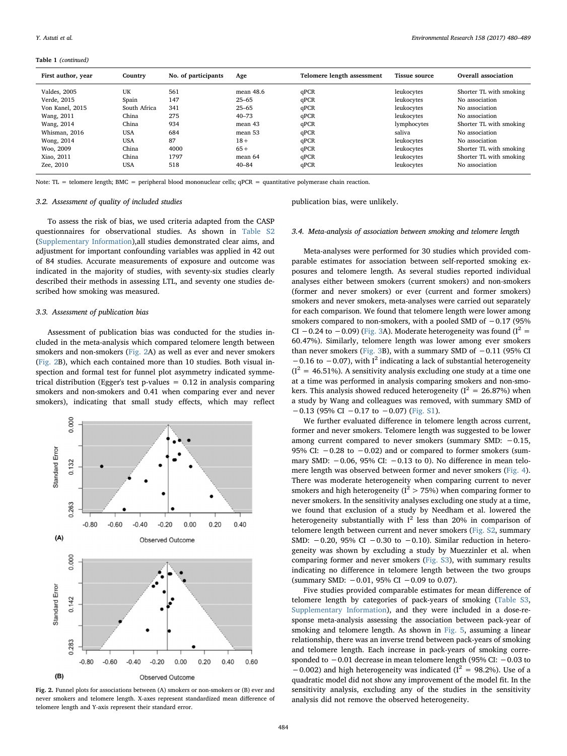Table 1 (continued)

| First author, year | Country      | No. of participants | Age       | Telomere length assessment | <b>Tissue source</b> | Overall association     |
|--------------------|--------------|---------------------|-----------|----------------------------|----------------------|-------------------------|
| Valdes, 2005       | UK           | 561                 | mean 48.6 | qPCR                       | leukocytes           | Shorter TL with smoking |
| Verde, 2015        | Spain        | 147                 | $25 - 65$ | qPCR                       | leukocytes           | No association          |
| Von Kanel, 2015    | South Africa | 341                 | $25 - 65$ | qPCR                       | leukocytes           | No association          |
| Wang, 2011         | China        | 275                 | $40 - 73$ | qPCR                       | leukocytes           | No association          |
| Wang, 2014         | China        | 934                 | mean 43   | qPCR                       | lymphocytes          | Shorter TL with smoking |
| Whisman, 2016      | <b>USA</b>   | 684                 | mean 53   | qPCR                       | saliya               | No association          |
| Wong, 2014         | <b>USA</b>   | 87                  | $18+$     | qPCR                       | leukocytes           | No association          |
| Woo, 2009          | China        | 4000                | $65+$     | qPCR                       | leukocytes           | Shorter TL with smoking |
| Xiao, 2011         | China        | 1797                | mean 64   | qPCR                       | leukocytes           | Shorter TL with smoking |
| Zee, 2010          | <b>USA</b>   | 518                 | $40 - 84$ | qPCR                       | leukocytes           | No association          |

Note: TL = telomere length; BMC = peripheral blood mononuclear cells;  $qPCR$  = quantitative polymerase chain reaction.

#### 3.2. Assessment of quality of included studies

publication bias, were unlikely.

To assess the risk of bias, we used criteria adapted from the CASP questionnaires for observational studies. As shown in Table S2 (Supplementary Information),all studies demonstrated clear aims, and adjustment for important confounding variables was applied in 42 out of 84 studies. Accurate measurements of exposure and outcome was indicated in the majority of studies, with seventy-six studies clearly described their methods in assessing LTL, and seventy one studies described how smoking was measured.

# 3.3. Assessment of publication bias

Assessment of publication bias was conducted for the studies included in the meta-analysis which compared telomere length between smokers and non-smokers [\(Fig. 2](#page-4-0)A) as well as ever and never smokers ([Fig. 2](#page-4-0)B), which each contained more than 10 studies. Both visual inspection and formal test for funnel plot asymmetry indicated symmetrical distribution (Egger's test p-values = 0.12 in analysis comparing smokers and non-smokers and 0.41 when comparing ever and never smokers), indicating that small study effects, which may reflect

<span id="page-4-0"></span>

Fig. 2. Funnel plots for associations between (A) smokers or non-smokers or (B) ever and never smokers and telomere length. X-axes represent standardized mean difference of telomere length and Y-axis represent their standard error.

# 3.4. Meta-analysis of association between smoking and telomere length

Meta-analyses were performed for 30 studies which provided comparable estimates for association between self-reported smoking exposures and telomere length. As several studies reported individual analyses either between smokers (current smokers) and non-smokers (former and never smokers) or ever (current and former smokers) smokers and never smokers, meta-analyses were carried out separately for each comparison. We found that telomere length were lower among smokers compared to non-smokers, with a pooled SMD of -0.17 (95% CI −0.24 to −0.09) ([Fig. 3](#page-5-0)A). Moderate heterogeneity was found ( $I^2$  = 60.47%). Similarly, telomere length was lower among ever smokers than never smokers [\(Fig. 3](#page-5-0)B), with a summary SMD of −0.11 (95% CI  $-0.16$  to  $-0.07$ ), with I<sup>2</sup> indicating a lack of substantial heterogeneity  $(I^2 = 46.51\%)$ . A sensitivity analysis excluding one study at a time one at a time was performed in analysis comparing smokers and non-smokers. This analysis showed reduced heterogeneity ( $I^2 = 26.87\%$ ) when a study by Wang and colleagues was removed, with summary SMD of  $-0.13$  (95% CI  $-0.17$  to  $-0.07$ ) (Fig. S1).

We further evaluated difference in telomere length across current, former and never smokers. Telomere length was suggested to be lower among current compared to never smokers (summary SMD: −0.15, 95% CI: −0.28 to −0.02) and or compared to former smokers (summary SMD: −0.06, 95% CI: −0.13 to 0). No difference in mean telomere length was observed between former and never smokers [\(Fig. 4](#page-6-0)). There was moderate heterogeneity when comparing current to never smokers and high heterogeneity ( $I^2 > 75\%$ ) when comparing former to never smokers. In the sensitivity analyses excluding one study at a time, we found that exclusion of a study by Needham et al. lowered the heterogeneity substantially with  $I^2$  less than 20% in comparison of telomere length between current and never smokers (Fig. S2, summary SMD: −0.20, 95% CI −0.30 to −0.10). Similar reduction in heterogeneity was shown by excluding a study by Muezzinler et al. when comparing former and never smokers (Fig. S3), with summary results indicating no difference in telomere length between the two groups (summary SMD: −0.01, 95% CI −0.09 to 0.07).

Five studies provided comparable estimates for mean difference of telomere length by categories of pack-years of smoking (Table S3, Supplementary Information), and they were included in a dose-response meta-analysis assessing the association between pack-year of smoking and telomere length. As shown in [Fig. 5,](#page-6-1) assuming a linear relationship, there was an inverse trend between pack-years of smoking and telomere length. Each increase in pack-years of smoking corresponded to −0.01 decrease in mean telomere length (95% CI: −0.03 to  $-0.002$ ) and high heterogeneity was indicated ( $I^2 = 98.2$ %). Use of a quadratic model did not show any improvement of the model fit. In the sensitivity analysis, excluding any of the studies in the sensitivity analysis did not remove the observed heterogeneity.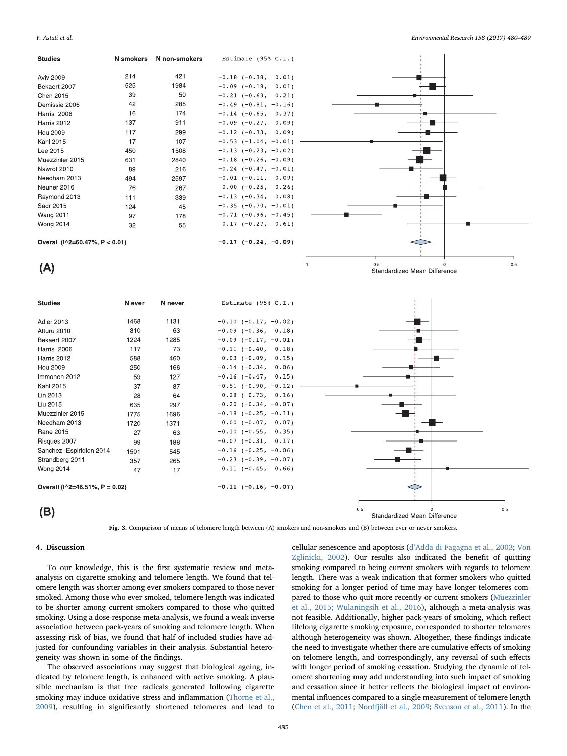<span id="page-5-0"></span>

Fig. 3. Comparison of means of telomere length between (A) smokers and non-smokers and (B) between ever or never smokers.

# 4. Discussion

To our knowledge, this is the first systematic review and metaanalysis on cigarette smoking and telomere length. We found that telomere length was shorter among ever smokers compared to those never smoked. Among those who ever smoked, telomere length was indicated to be shorter among current smokers compared to those who quitted smoking. Using a dose-response meta-analysis, we found a weak inverse association between pack-years of smoking and telomere length. When assessing risk of bias, we found that half of included studies have adjusted for confounding variables in their analysis. Substantial heterogeneity was shown in some of the findings.

The observed associations may suggest that biological ageing, indicated by telomere length, is enhanced with active smoking. A plausible mechanism is that free radicals generated following cigarette smoking may induce oxidative stress and inflammation [\(Thorne et al.,](#page-9-3) [2009\)](#page-9-3), resulting in significantly shortened telomeres and lead to

cellular senescence and apoptosis (d'[Adda di Fagagna et al., 2003;](#page-8-3) [Von](#page-9-0) [Zglinicki, 2002](#page-9-0)). Our results also indicated the benefit of quitting smoking compared to being current smokers with regards to telomere length. There was a weak indication that former smokers who quitted smoking for a longer period of time may have longer telomeres compared to those who quit more recently or current smokers ([Müezzinler](#page-8-9) [et al., 2015; Wulaningsih et al., 2016\)](#page-8-9), although a meta-analysis was not feasible. Additionally, higher pack-years of smoking, which reflect lifelong cigarette smoking exposure, corresponded to shorter telomeres although heterogeneity was shown. Altogether, these findings indicate the need to investigate whether there are cumulative effects of smoking on telomere length, and correspondingly, any reversal of such effects with longer period of smoking cessation. Studying the dynamic of telomere shortening may add understanding into such impact of smoking and cessation since it better reflects the biological impact of environmental influences compared to a single measurement of telomere length ([Chen et al., 2011; Nordfjäll et al., 2009](#page-8-20); [Svenson et al., 2011\)](#page-8-21). In the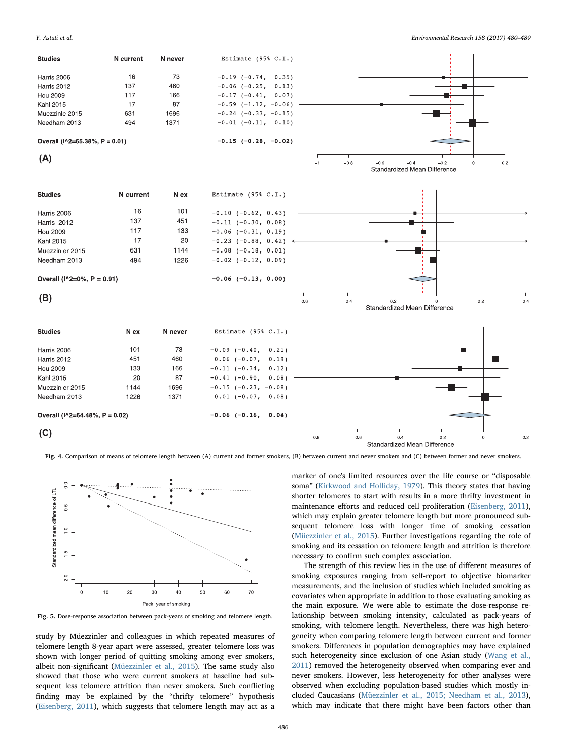<span id="page-6-0"></span>

Fig. 4. Comparison of means of telomere length between (A) current and former smokers, (B) between current and never smokers and (C) between former and never smokers.

<span id="page-6-1"></span>

Fig. 5. Dose-response association between pack-years of smoking and telomere length.

study by Müezzinler and colleagues in which repeated measures of telomere length 8-year apart were assessed, greater telomere loss was shown with longer period of quitting smoking among ever smokers, albeit non-significant [\(Müezzinler et al., 2015](#page-8-9)). The same study also showed that those who were current smokers at baseline had subsequent less telomere attrition than never smokers. Such conflicting finding may be explained by the "thrifty telomere" hypothesis ([Eisenberg, 2011](#page-8-22)), which suggests that telomere length may act as a

marker of one's limited resources over the life course or "disposable soma" ([Kirkwood and Holliday, 1979\)](#page-8-23). This theory states that having shorter telomeres to start with results in a more thrifty investment in maintenance efforts and reduced cell proliferation ([Eisenberg, 2011](#page-8-22)), which may explain greater telomere length but more pronounced subsequent telomere loss with longer time of smoking cessation ([Müezzinler et al., 2015](#page-8-9)). Further investigations regarding the role of smoking and its cessation on telomere length and attrition is therefore necessary to confirm such complex association.

The strength of this review lies in the use of different measures of smoking exposures ranging from self-report to objective biomarker measurements, and the inclusion of studies which included smoking as covariates when appropriate in addition to those evaluating smoking as the main exposure. We were able to estimate the dose-response relationship between smoking intensity, calculated as pack-years of smoking, with telomere length. Nevertheless, there was high heterogeneity when comparing telomere length between current and former smokers. Differences in population demographics may have explained such heterogeneity since exclusion of one Asian study ([Wang et al.,](#page-9-4) [2011\)](#page-9-4) removed the heterogeneity observed when comparing ever and never smokers. However, less heterogeneity for other analyses were observed when excluding population-based studies which mostly included Caucasians ([Müezzinler et al., 2015; Needham et al., 2013](#page-8-9)), which may indicate that there might have been factors other than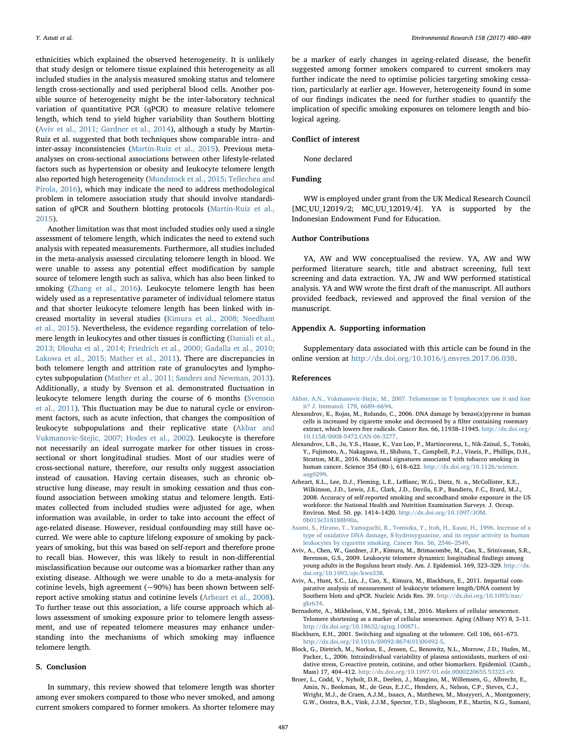ethnicities which explained the observed heterogeneity. It is unlikely that study design or telomere tissue explained this heterogeneity as all included studies in the analysis measured smoking status and telomere length cross-sectionally and used peripheral blood cells. Another possible source of heterogeneity might be the inter-laboratory technical variation of quantitative PCR (qPCR) to measure relative telomere length, which tend to yield higher variability than Southern blotting ([Aviv et al., 2011; Gardner et al., 2014](#page-7-6)), although a study by Martin-Ruiz et al. suggested that both techniques show comparable intra- and inter-assay inconsistencies [\(Martin-Ruiz et al., 2015](#page-8-24)). Previous metaanalyses on cross-sectional associations between other lifestyle-related factors such as hypertension or obesity and leukocyte telomere length also reported high heterogeneity [\(Mundstock et al., 2015; Tellechea and](#page-8-11) [Pirola, 2016](#page-8-11)), which may indicate the need to address methodological problem in telomere association study that should involve standardisation of qPCR and Southern blotting protocols [\(Martin-Ruiz et al.,](#page-8-24) [2015\)](#page-8-24).

Another limitation was that most included studies only used a single assessment of telomere length, which indicates the need to extend such analysis with repeated measurements. Furthermore, all studies included in the meta-analysis assessed circulating telomere length in blood. We were unable to assess any potential effect modification by sample source of telomere length such as saliva, which has also been linked to smoking [\(Zhang et al., 2016\)](#page-9-5). Leukocyte telomere length has been widely used as a representative parameter of individual telomere status and that shorter leukocyte telomere length has been linked with increased mortality in several studies ([Kimura et al., 2008; Needham](#page-8-25) [et al., 2015\)](#page-8-25). Nevertheless, the evidence regarding correlation of telomere length in leukocytes and other tissues is conflicting ([Daniali et al.,](#page-8-26) [2013; Dlouha et al., 2014; Friedrich et al., 2000; Gadalla et al., 2010;](#page-8-26) [Lakowa et al., 2015; Mather et al., 2011](#page-8-26)). There are discrepancies in both telomere length and attrition rate of granulocytes and lymphocytes subpopulation [\(Mather et al., 2011; Sanders and Newman, 2013](#page-8-27)). Additionally, a study by Svenson et al. demonstrated fluctuation in leukocyte telomere length during the course of 6 months ([Svenson](#page-8-21) [et al., 2011\)](#page-8-21). This fluctuation may be due to natural cycle or environment factors, such as acute infection, that changes the composition of leukocyte subpopulations and their replicative state [\(Akbar and](#page-7-7) [Vukmanovic-Stejic, 2007; Hodes et al., 2002\)](#page-7-7). Leukocyte is therefore not necessarily an ideal surrogate marker for other tissues in crosssectional or short longitudinal studies. Most of our studies were of cross-sectional nature, therefore, our results only suggest association instead of causation. Having certain diseases, such as chronic obstructive lung disease, may result in smoking cessation and thus confound association between smoking status and telomere length. Estimates collected from included studies were adjusted for age, when information was available, in order to take into account the effect of age-related disease. However, residual confounding may still have occurred. We were able to capture lifelong exposure of smoking by packyears of smoking, but this was based on self-report and therefore prone to recall bias. However, this was likely to result in non-differential misclassification because our outcome was a biomarker rather than any existing disease. Although we were unable to do a meta-analysis for cotinine levels, high agreement  $({\sim}90\%)$  has been shown between selfreport active smoking status and cotinine levels [\(Arheart et al., 2008](#page-7-8)). To further tease out this association, a life course approach which allows assessment of smoking exposure prior to telomere length assessment, and use of repeated telomere measures may enhance understanding into the mechanisms of which smoking may influence telomere length.

#### 5. Conclusion

In summary, this review showed that telomere length was shorter among ever smokers compared to those who never smoked, and among current smokers compared to former smokers. As shorter telomere may be a marker of early changes in ageing-related disease, the benefit suggested among former smokers compared to current smokers may further indicate the need to optimise policies targeting smoking cessation, particularly at earlier age. However, heterogeneity found in some of our findings indicates the need for further studies to quantify the implication of specific smoking exposures on telomere length and biological ageing.

# Conflict of interest

None declared

# Funding

WW is employed under grant from the UK Medical Research Council [MC\_UU\_12019/2; MC\_UU\_12019/4]. YA is supported by the Indonesian Endowment Fund for Education.

#### Author Contributions

YA, AW and WW conceptualised the review. YA, AW and WW performed literature search, title and abstract screening, full text screening and data extraction. YA, JW and WW performed statistical analysis. YA and WW wrote the first draft of the manuscript. All authors provided feedback, reviewed and approved the final version of the manuscript.

## Appendix A. Supporting information

Supplementary data associated with this article can be found in the online version at [http://dx.doi.org/10.1016/j.envres.2017.06.038.](http://dx.doi.org/10.1016/j.envres.2017.06.038)

# References

- <span id="page-7-7"></span>[Akbar, A.N., Vukmanovic-Stejic, M., 2007. Telomerase in T lymphocytes: use it and lose](http://refhub.elsevier.com/S0013-9351(17)30433-4/sbref1) [it? J. Immunol. 178, 6689](http://refhub.elsevier.com/S0013-9351(17)30433-4/sbref1)–6694.
- <span id="page-7-3"></span>Alexandrov, K., Rojas, M., Rolando, C., 2006. DNA damage by benzo(a)pyrene in human cells is increased by cigarette smoke and decreased by a filter containing rosemary extract, which lowers free radicals. Cancer Res. 66, 11938–11945. [http://dx.doi.org/](http://dx.doi.org/10.1158/0008-5472.CAN-06-3277) [10.1158/0008-5472.CAN-06-3277](http://dx.doi.org/10.1158/0008-5472.CAN-06-3277).
- Alexandrov, L.B., Ju, Y.S., Haase, K., Van Loo, P., Martincorena, I., Nik-Zainal, S., Totoki, Y., Fujimoto, A., Nakagawa, H., Shibata, T., Campbell, P.J., Vineis, P., Phillips, D.H., Stratton, M.R., 2016. Mutational signatures associated with tobacco smoking in human cancer. Science 354 (80-), 618–622. [http://dx.doi.org/10.1126/science.](http://dx.doi.org/10.1126/science.aag0299) [aag0299.](http://dx.doi.org/10.1126/science.aag0299)
- <span id="page-7-8"></span>Arheart, K.L., Lee, D.J., Fleming, L.E., LeBlanc, W.G., Dietz, N. a., McCollister, K.E., Wilkinson, J.D., Lewis, J.E., Clark, J.D., Davila, E.P., Bandiera, F.C., Erard, M.J., 2008. Accuracy of self-reported smoking and secondhand smoke exposure in the US workforce: the National Health and Nutrition Examination Surveys. J. Occup. Environ. Med. 50. pp. 1414–1420. [http://dx.doi.org/10.1097/JOM.](http://dx.doi.org/10.1097/JOM.0b013e318188b90a) [0b013e318188b90a](http://dx.doi.org/10.1097/JOM.0b013e318188b90a).
- [Asami, S., Hirano, T., Yamaguchi, R., Tomioka, Y., Itoh, H., Kasai, H., 1996. Increase of a](http://refhub.elsevier.com/S0013-9351(17)30433-4/sbref5) [type of oxidative DNA damage, 8-hydroxyguanine, and its repair activity in human](http://refhub.elsevier.com/S0013-9351(17)30433-4/sbref5) [leukocytes by cigarette smoking. Cancer Res. 56, 2546](http://refhub.elsevier.com/S0013-9351(17)30433-4/sbref5)–2549.
- <span id="page-7-5"></span>Aviv, A., Chen, W., Gardner, J.P., Kimura, M., Brimacombe, M., Cao, X., Srinivasan, S.R., Berenson, G.S., 2009. Leukocyte telomere dynamics: longitudinal findings among young adults in the Bogalusa heart study. Am. J. Epidemiol. 169, 323–329. [http://dx.](http://dx.doi.org/10.1093/aje/kwn338) [doi.org/10.1093/aje/kwn338](http://dx.doi.org/10.1093/aje/kwn338).
- <span id="page-7-6"></span>Aviv, A., Hunt, S.C., Lin, J., Cao, X., Kimura, M., Blackburn, E., 2011. Impartial comparative analysis of measurement of leukocyte telomere length/DNA content by Southern blots and qPCR. Nucleic Acids Res. 39. [http://dx.doi.org/10.1093/nar/](http://dx.doi.org/10.1093/nar/gkr634) [gkr634.](http://dx.doi.org/10.1093/nar/gkr634)
- <span id="page-7-1"></span>Bernadotte, A., Mikhelson, V.M., Spivak, I.M., 2016. Markers of cellular senescence. Telomere shortening as a marker of cellular senescence. Aging (Albany NY) 8, 3–11. [http://dx.doi.org/10.18632/aging.100871.](http://dx.doi.org/10.18632/aging.100871)
- <span id="page-7-0"></span>Blackburn, E.H., 2001. Switching and signaling at the telomere. Cell 106, 661–673. [http://dx.doi.org/10.1016/S0092-8674\(01\)00492-5](http://dx.doi.org/10.1016/S0092-8674(01)00492-5).
- <span id="page-7-4"></span>Block, G., Dietrich, M., Norkus, E., Jensen, C., Benowitz, N.L., Morrow, J.D., Hudes, M., Packer, L., 2006. Intraindividual variability of plasma antioxidants, markers of oxidative stress, C-reactive protein, cotinine, and other biomarkers. Epidemiol. (Camb., Mass) 17, 404–412. <http://dx.doi.org/10.1097/01.ede.0000220655.53323.e9>.
- <span id="page-7-2"></span>Broer, L., Codd, V., Nyholt, D.R., Deelen, J., Mangino, M., Willemsen, G., Albrecht, E., Amin, N., Beekman, M., de Geus, E.J.C., Henders, A., Nelson, C.P., Steves, C.J., Wright, M.J., de Craen, A.J.M., Isaacs, A., Matthews, M., Moayyeri, A., Montgomery, G.W., Oostra, B.A., Vink, J.J.M., Spector, T.D., Slagboom, P.E., Martin, N.G., Samani,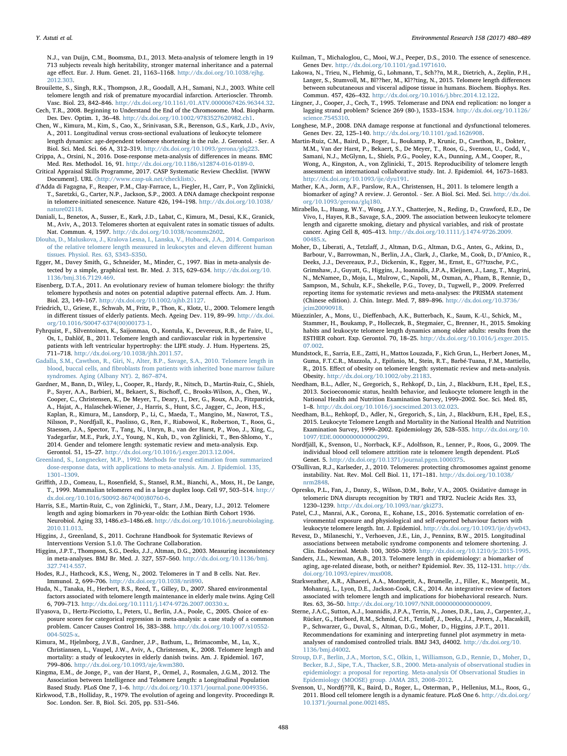N.J., van Duijn, C.M., Boomsma, D.I., 2013. Meta-analysis of telomere length in 19 713 subjects reveals high heritability, stronger maternal inheritance and a paternal age effect. Eur. J. Hum. Genet. 21, 1163–1168. [http://dx.doi.org/10.1038/ejhg.](http://dx.doi.org/10.1038/ejhg.2012.303) [2012.303](http://dx.doi.org/10.1038/ejhg.2012.303).

- <span id="page-8-6"></span>Brouilette, S., Singh, R.K., Thompson, J.R., Goodall, A.H., Samani, N.J., 2003. White cell telomere length and risk of premature myocardial infarction. Arterioscler. Thromb. Vasc. Biol. 23, 842–846. [http://dx.doi.org/10.1161/01.ATV.0000067426.96344.32.](http://dx.doi.org/10.1161/01.ATV.0000067426.96344.32) Cech, T.R., 2008. Beginning to Understand the End of the Chromosome. Mod. Biopharm.
- Des. Dev. Optim. 1, 36–48. [http://dx.doi.org/10.1002/9783527620982.ch1.](http://dx.doi.org/10.1002/9783527620982.ch1)
- <span id="page-8-20"></span>Chen, W., Kimura, M., Kim, S., Cao, X., Srinivasan, S.R., Berenson, G.S., Kark, J.D., Aviv, A., 2011. Longitudinal versus cross-sectional evaluations of leukocyte telomere length dynamics: age-dependent telomere shortening is the rule. J. Gerontol. - Ser. A
- <span id="page-8-17"></span>Biol. Sci. Med. Sci. 66 A, 312–319. <http://dx.doi.org/10.1093/gerona/glq223>. Crippa, A., Orsini, N., 2016. Dose-response meta-analysis of differences in means. BMC Med. Res. Methodol. 16, 91. [http://dx.doi.org/10.1186/s12874-016-0189-0.](http://dx.doi.org/10.1186/s12874-016-0189-0)
- <span id="page-8-12"></span>Critical Appraisal Skills Programme, 2017. CASP Systematic Review Checklist. [WWW Document]. URL 〈<http://www.casp-uk.net/checklists>〉.
- <span id="page-8-3"></span>d'Adda di Fagagna, F., Reaper, P.M., Clay-Farrace, L., Fiegler, H., Carr, P., Von Zglinicki, T., Saretzki, G., Carter, N.P., Jackson, S.P., 2003. A DNA damage checkpoint response in telomere-initiated senescence. Nature 426, 194–198. [http://dx.doi.org/10.1038/](http://dx.doi.org/10.1038/nature02118) [nature02118.](http://dx.doi.org/10.1038/nature02118)
- <span id="page-8-26"></span>Daniali, L., Benetos, A., Susser, E., Kark, J.D., Labat, C., Kimura, M., Desai, K.K., Granick, M., Aviv, A., 2013. Telomeres shorten at equivalent rates in somatic tissues of adults. Nat. Commun. 4, 1597. <http://dx.doi.org/10.1038/ncomms2602>.
- [Dlouha, D., Maluskova, J., Kralova Lesna, I., Lanska, V., Hubacek, J.A., 2014. Comparison](http://refhub.elsevier.com/S0013-9351(17)30433-4/sbref18) [of the relative telomere length measured in leukocytes and eleven di](http://refhub.elsevier.com/S0013-9351(17)30433-4/sbref18)fferent human [tissues. Physiol. Res. 63, S343](http://refhub.elsevier.com/S0013-9351(17)30433-4/sbref18)–S350.
- <span id="page-8-14"></span>Egger, M., Davey Smith, G., Schneider, M., Minder, C., 1997. Bias in meta-analysis detected by a simple, graphical test. Br. Med. J. 315, 629–634. [http://dx.doi.org/10.](http://dx.doi.org/10.1136/bmj.316.7129.469) [1136/bmj.316.7129.469](http://dx.doi.org/10.1136/bmj.316.7129.469).
- <span id="page-8-22"></span>Eisenberg, D.T.A., 2011. An evolutionary review of human telomere biology: the thrifty telomere hypothesis and notes on potential adaptive paternal effects. Am. J. Hum. Biol. 23, 149–167. <http://dx.doi.org/10.1002/ajhb.21127>.
- Friedrich, U., Griese, E., Schwab, M., Fritz, P., Thon, K., Klotz, U., 2000. Telomere length in different tissues of elderly patients. Mech. Ageing Dev. 119, 89–99. [http://dx.doi.](http://dx.doi.org/10.1016/S0047-6374(00)00173-1) [org/10.1016/S0047-6374\(00\)00173-1](http://dx.doi.org/10.1016/S0047-6374(00)00173-1).
- Fyhrquist, F., Silventoinen, K., Saijonmaa, O., Kontula, K., Devereux, R.B., de Faire, U., Os, I., Dahlöf, B., 2011. Telomere length and cardiovascular risk in hypertensive patients with left ventricular hypertrophy: the LIFE study. J. Hum. Hypertens. 25, 711–718. <http://dx.doi.org/10.1038/jhh.2011.57>.
- [Gadalla, S.M., Cawthon, R., Giri, N., Alter, B.P., Savage, S.A., 2010. Telomere length in](http://refhub.elsevier.com/S0013-9351(17)30433-4/sbref23) blood, buccal cells, and fi[broblasts from patients with inherited bone marrow failure](http://refhub.elsevier.com/S0013-9351(17)30433-4/sbref23) syndromes. [Aging \(Albany NY\). 2, 867](http://refhub.elsevier.com/S0013-9351(17)30433-4/sbref23)–874.
- Gardner, M., Bann, D., Wiley, L., Cooper, R., Hardy, R., Nitsch, D., Martin-Ruiz, C., Shiels, P., Sayer, A.A., Barbieri, M., Bekaert, S., Bischoff, C., Brooks-Wilson, A., Chen, W., Cooper, C., Christensen, K., De Meyer, T., Deary, I., Der, G., Roux, A.D., Fitzpatrick, A., Hajat, A., Halaschek-Wiener, J., Harris, S., Hunt, S.C., Jagger, C., Jeon, H.S., Kaplan, R., Kimura, M., Lansdorp, P., Li, C., Maeda, T., Mangino, M., Nawrot, T.S., Nilsson, P., Nordfjall, K., Paolisso, G., Ren, F., Riabowol, K., Robertson, T., Roos, G., Staessen, J.A., Spector, T., Tang, N., Unryn, B., van der Harst, P., Woo, J., Xing, C., Yadegarfar, M.E., Park, J.Y., Young, N., Kuh, D., von Zglinicki, T., Ben-Shlomo, Y., 2014. Gender and telomere length: systematic review and meta-analysis. Exp. Gerontol. 51, 15–27. <http://dx.doi.org/10.1016/j.exger.2013.12.004>.
- <span id="page-8-10"></span>[Greenland, S., Longnecker, M.P., 1992. Methods for trend estimation from summarized](http://refhub.elsevier.com/S0013-9351(17)30433-4/sbref25) [dose-response data, with applications to meta-analysis. Am. J. Epidemiol. 135,](http://refhub.elsevier.com/S0013-9351(17)30433-4/sbref25) [1301](http://refhub.elsevier.com/S0013-9351(17)30433-4/sbref25)–1309.
- <span id="page-8-1"></span>Griffith, J.D., Comeau, L., Rosenfield, S., Stansel, R.M., Bianchi, A., Moss, H., De Lange, T., 1999. Mammalian telomeres end in a large duplex loop. Cell 97, 503–514. [http://](http://dx.doi.org/10.1016/S0092-8674(00)80760-6) [dx.doi.org/10.1016/S0092-8674\(00\)80760-6.](http://dx.doi.org/10.1016/S0092-8674(00)80760-6)
- Harris, S.E., Martin-Ruiz, C., von Zglinicki, T., Starr, J.M., Deary, I.J., 2012. Telomere length and aging biomarkers in 70-year-olds: the Lothian Birth Cohort 1936. Neurobiol. Aging 33, 1486.e3–1486.e8. [http://dx.doi.org/10.1016/j.neurobiolaging.](http://dx.doi.org/10.1016/j.neurobiolaging.2010.11.013) [2010.11.013](http://dx.doi.org/10.1016/j.neurobiolaging.2010.11.013).
- <span id="page-8-15"></span>Higgins, J., Greenland, S., 2011. Cochrane Handbook for Systematic Reviews of Interventions Version 5.1.0. The Cochrane Collaboration.
- <span id="page-8-16"></span>Higgins, J.P.T., Thompson, S.G., Deeks, J.J., Altman, D.G., 2003. Measuring inconsistency in meta-analyses. BMJ Br. Med. J. 327, 557–560. [http://dx.doi.org/10.1136/bmj.](http://dx.doi.org/10.1136/bmj.327.7414.557) [327.7414.557](http://dx.doi.org/10.1136/bmj.327.7414.557).
- Hodes, R.J., Hathcock, K.S., Weng, N., 2002. Telomeres in T and B cells. Nat. Rev. Immunol. 2, 699–706. [http://dx.doi.org/10.1038/nri890.](http://dx.doi.org/10.1038/nri890)
- <span id="page-8-2"></span>Huda, N., Tanaka, H., Herbert, B.S., Reed, T., Gilley, D., 2007. Shared environmental factors associated with telomere length maintenance in elderly male twins. Aging Cell 6, 709–713. [http://dx.doi.org/10.1111/j.1474-9726.2007.00330.x.](http://dx.doi.org/10.1111/j.1474-9726.2007.00330.x)
- Il'yasova, D., Hertz-Picciotto, I., Peters, U., Berlin, J.A., Poole, C., 2005. Choice of exposure scores for categorical regression in meta-analysis: a case study of a common problem. Cancer Causes Control 16, 383–388. [http://dx.doi.org/10.1007/s10552-](http://dx.doi.org/10.1007/s10552-004-5025-x) [004-5025-x](http://dx.doi.org/10.1007/s10552-004-5025-x).
- <span id="page-8-25"></span>Kimura, M., Hjelmborg, J.V.B., Gardner, J.P., Bathum, L., Brimacombe, M., Lu, X., Christiansen, L., Vaupel, J.W., Aviv, A., Christensen, K., 2008. Telomere length and mortality: a study of leukocytes in elderly danish twins. Am. J. Epidemiol. 167, 799–806. <http://dx.doi.org/10.1093/aje/kwm380>.
- <span id="page-8-19"></span>Kingma, E.M., de Jonge, P., van der Harst, P., Ormel, J., Rosmalen, J.G.M., 2012. The Association between Intelligence and Telomere Length: a Longitudinal Population Based Study. PLoS One 7, 1–6. [http://dx.doi.org/10.1371/journal.pone.0049356.](http://dx.doi.org/10.1371/journal.pone.0049356)
- <span id="page-8-23"></span>Kirkwood, T.B., Holliday, R., 1979. The evolution of ageing and longevity. Proceedings R. Soc. London. Ser. B, Biol. Sci. 205, pp. 531–546.
- Kuilman, T., Michaloglou, C., Mooi, W.J., Peeper, D.S., 2010. The essence of senescence. Genes Dev. <http://dx.doi.org/10.1101/gad.1971610>.
- Lakowa, N., Trieu, N., Flehmig, G., Lohmann, T., Sch??n, M.R., Dietrich, A., Zeplin, P.H., Langer, S., Stumvoll, M., Bl??her, M., Kl??ting, N., 2015. Telomere length differences between subcutaneous and visceral adipose tissue in humans. Biochem. Biophys. Res. Commun. 457, 426–432. <http://dx.doi.org/10.1016/j.bbrc.2014.12.122>.
- <span id="page-8-0"></span>Lingner, J., Cooper, J., Cech, T., 1995. Telomerase and DNA end replication: no longer a lagging strand problem? Science 269 (80-), 1533–1534. [http://dx.doi.org/10.1126/](http://dx.doi.org/10.1126/science.7545310) [science.7545310.](http://dx.doi.org/10.1126/science.7545310)
- Longhese, M.P., 2008. DNA damage response at functional and dysfunctional telomeres. Genes Dev. 22, 125–140. <http://dx.doi.org/10.1101/gad.1626908>.
- <span id="page-8-24"></span>Martin-Ruiz, C.M., Baird, D., Roger, L., Boukamp, P., Krunic, D., Cawthon, R., Dokter, M.M., Van der Harst, P., Bekaert, S., De Meyer, T., Roos, G., Svenson, U., Codd, V., Samani, N.J., McGlynn, L., Shiels, P.G., Pooley, K.A., Dunning, A.M., Cooper, R., Wong, A., Kingston, A., von Zglinicki, T., 2015. Reproducibility of telomere length assessment: an international collaborative study. Int. J. Epidemiol. 44, 1673–1683. [http://dx.doi.org/10.1093/ije/dyu191.](http://dx.doi.org/10.1093/ije/dyu191)
- <span id="page-8-27"></span>Mather, K.A., Jorm, A.F., Parslow, R.A., Christensen, H., 2011. Is telomere length a biomarker of aging? A review. J. Gerontol. - Ser. A Biol. Sci. Med. Sci. [http://dx.doi.](http://dx.doi.org/10.1093/gerona/glq180) [org/10.1093/gerona/glq180](http://dx.doi.org/10.1093/gerona/glq180).
- <span id="page-8-5"></span>Mirabello, L., Huang, W.Y., Wong, J.Y.Y., Chatterjee, N., Reding, D., Crawford, E.D., De Vivo, I., Hayes, R.B., Savage, S.A., 2009. The association between leukocyte telomere length and cigarette smoking, dietary and physical variables, and risk of prostate cancer. Aging Cell 8, 405–413. [http://dx.doi.org/10.1111/j.1474-9726.2009.](http://dx.doi.org/10.1111/j.1474-9726.2009.00485.x) 00485 x
- <span id="page-8-8"></span>Moher, D., Liberati, A., Tetzlaff, J., Altman, D.G., Altman, D.G., Antes, G., Atkins, D., Barbour, V., Barrowman, N., Berlin, J.A., Clark, J., Clarke, M., Cook, D., D'Amico, R., Deeks, J.J., Devereaux, P.J., Dickersin, K., Egger, M., Ernst, E., G??tzsche, P.C., Grimshaw, J., Guyatt, G., Higgins, J., Ioannidis, J.P.A., Kleijnen, J., Lang, T., Magrini, N., McNamee, D., Moja, L., Mulrow, C., Napoli, M., Oxman, A., Pham, B., Rennie, D., Sampson, M., Schulz, K.F., Shekelle, P.G., Tovey, D., Tugwell, P., 2009. Preferred reporting items for systematic reviews and meta-analyses: the PRISMA statement (Chinese edition). J. Chin. Integr. Med. 7, 889–896. [http://dx.doi.org/10.3736/](http://dx.doi.org/10.3736/jcim20090918) icim20090918.
- <span id="page-8-9"></span>Müezzinler, A., Mons, U., Dieffenbach, A.K., Butterbach, K., Saum, K.-U., Schick, M., Stammer, H., Boukamp, P., Holleczek, B., Stegmaier, C., Brenner, H., 2015. Smoking habits and leukocyte telomere length dynamics among older adults: results from the ESTHER cohort. Exp. Gerontol. 70, 18–25. [http://dx.doi.org/10.1016/j.exger.2015.](http://dx.doi.org/10.1016/j.exger.2015.07.002) [07.002](http://dx.doi.org/10.1016/j.exger.2015.07.002).
- <span id="page-8-11"></span>Mundstock, E., Sarria, E.E., Zatti, H., Mattos Louzada, F., Kich Grun, L., Herbert Jones, M., Guma, F.T.C.R., Mazzola, J., Epifanio, M., Stein, R.T., Barbé-Tuana, F.M., Mattiello, R., 2015. Effect of obesity on telomere length: systematic review and meta-analysis. Obesity. [http://dx.doi.org/10.1002/oby.21183.](http://dx.doi.org/10.1002/oby.21183)
- Needham, B.L., Adler, N., Gregorich, S., Rehkopf, D., Lin, J., Blackburn, E.H., Epel, E.S., 2013. Socioeconomic status, health behavior, and leukocyte telomere length in the National Health and Nutrition Examination Survey, 1999–2002. Soc. Sci. Med. 85, 1–8. [http://dx.doi.org/10.1016/j.socscimed.2013.02.023.](http://dx.doi.org/10.1016/j.socscimed.2013.02.023)
- Needham, B.L., Rehkopf, D., Adler, N., Gregorich, S., Lin, J., Blackburn, E.H., Epel, E.S., 2015. Leukocyte Telomere Length and Mortality in the National Health and Nutrition Examination Survey, 1999–2002. Epidemiology 26, 528–535. [http://dx.doi.org/10.](http://dx.doi.org/10.1097/EDE.0000000000000299) [1097/EDE.0000000000000299](http://dx.doi.org/10.1097/EDE.0000000000000299).
- Nordfjäll, K., Svenson, U., Norrback, K.F., Adolfsson, R., Lenner, P., Roos, G., 2009. The individual blood cell telomere attrition rate is telomere length dependent. PLoS Genet. 5. [http://dx.doi.org/10.1371/journal.pgen.1000375.](http://dx.doi.org/10.1371/journal.pgen.1000375)
- O'Sullivan, R.J., Karlseder, J., 2010. Telomeres: protecting chromosomes against genome instability. Nat. Rev. Mol. Cell Biol. 11, 171–181. [http://dx.doi.org/10.1038/](http://dx.doi.org/10.1038/nrm2848) [nrm2848](http://dx.doi.org/10.1038/nrm2848).
- <span id="page-8-4"></span>Opresko, P.L., Fan, J., Danzy, S., Wilson, D.M., Bohr, V.A., 2005. Oxidative damage in telomeric DNA disrupts recognition by TRF1 and TRF2. Nucleic Acids Res. 33, 1230–1239. <http://dx.doi.org/10.1093/nar/gki273>.
- <span id="page-8-18"></span>Patel, C.J., Manrai, A.K., Corona, E., Kohane, I.S., 2016. Systematic correlation of environmental exposure and physiological and self-reported behaviour factors with leukocyte telomere length. Int. J. Epidemiol. [http://dx.doi.org/10.1093/ije/dyw043.](http://dx.doi.org/10.1093/ije/dyw043)
- Revesz, D., Milaneschi, Y., Verhoeven, J.E., Lin, J., Penninx, B.W., 2015. Longitudinal associations between metabolic syndrome components and telomere shortening. J. Clin. Endocrinol. Metab. 100, 3050–3059. [http://dx.doi.org/10.1210/jc.2015-1995.](http://dx.doi.org/10.1210/jc.2015-1995)
- Sanders, J.L., Newman, A.B., 2013. Telomere length in epidemiology: a biomarker of aging, age-related disease, both, or neither? Epidemiol. Rev. 35, 112–131. [http://dx.](http://dx.doi.org/10.1093/epirev/mxs008) [doi.org/10.1093/epirev/mxs008.](http://dx.doi.org/10.1093/epirev/mxs008)
- Starkweather, A.R., Alhaeeri, A.A., Montpetit, A., Brumelle, J., Filler, K., Montpetit, M., Mohanraj, L., Lyon, D.E., Jackson-Cook, C.K., 2014. An integrative review of factors associated with telomere length and implications for biobehavioral research. Nurs. Res. 63, 36–50. <http://dx.doi.org/10.1097/NNR.0000000000000009>.
- <span id="page-8-13"></span>Sterne, J.A.C., Sutton, A.J., Ioannidis, J.P.A., Terrin, N., Jones, D.R., Lau, J., Carpenter, J., Rücker, G., Harbord, R.M., Schmid, C.H., Tetzlaff, J., Deeks, J.J., Peters, J., Macaskill, P., Schwarzer, G., Duval, S., Altman, D.G., Moher, D., Higgins, J.P.T., 2011. Recommendations for examining and interpreting funnel plot asymmetry in metaanalyses of randomised controlled trials. BMJ 343, d4002. [http://dx.doi.org/10.](http://dx.doi.org/10.1136/bmj.d4002) [1136/bmj.d4002.](http://dx.doi.org/10.1136/bmj.d4002)
- <span id="page-8-7"></span>[Stroup, D.F., Berlin, J.A., Morton, S.C., Olkin, I., Williamson, G.D., Rennie, D., Moher, D.,](http://refhub.elsevier.com/S0013-9351(17)30433-4/sbref54) [Becker, B.J., Sipe, T.A., Thacker, S.B., 2000. Meta-analysis of observational studies in](http://refhub.elsevier.com/S0013-9351(17)30433-4/sbref54) [epidemiology: a proposal for reporting. Meta-analysis Of Observational Studies in](http://refhub.elsevier.com/S0013-9351(17)30433-4/sbref54) [Epidemiology \(MOOSE\) group. JAMA 283, 2008](http://refhub.elsevier.com/S0013-9351(17)30433-4/sbref54)–2012.
- <span id="page-8-21"></span>Svenson, U., Nordfj??ll, K., Baird, D., Roger, L., Osterman, P., Hellenius, M.L., Roos, G., 2011. Blood cell telomere length is a dynamic feature. PLoS One 6. [http://dx.doi.org/](http://dx.doi.org/10.1371/journal.pone.0021485) [10.1371/journal.pone.0021485.](http://dx.doi.org/10.1371/journal.pone.0021485)